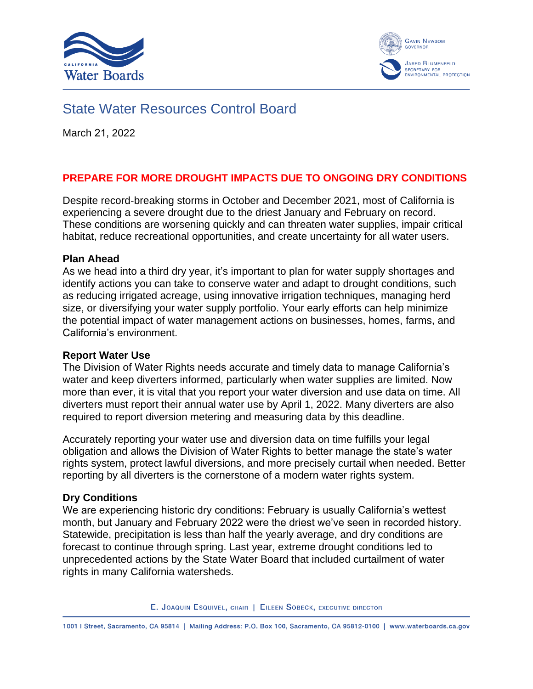



# State Water Resources Control Board

March 21, 2022

### **PREPARE FOR MORE DROUGHT IMPACTS DUE TO ONGOING DRY CONDITIONS**

Despite record-breaking storms in October and December 2021, most of California is experiencing a severe drought due to the driest January and February on record. These conditions are worsening quickly and can threaten water supplies, impair critical habitat, reduce recreational opportunities, and create uncertainty for all water users.

#### **Plan Ahead**

As we head into a third dry year, it's important to plan for water supply shortages and identify actions you can take to conserve water and adapt to drought conditions, such as reducing irrigated acreage, using innovative irrigation techniques, managing herd size, or diversifying your water supply portfolio. Your early efforts can help minimize the potential impact of water management actions on businesses, homes, farms, and California's environment.

#### **Report Water Use**

The Division of Water Rights needs accurate and timely data to manage California's water and keep diverters informed, particularly when water supplies are limited. Now more than ever, it is vital that you report your water diversion and use data on time. All diverters must report their annual water use by April 1, 2022. Many diverters are also required to report diversion metering and measuring data by this deadline.

Accurately reporting your water use and diversion data on time fulfills your legal obligation and allows the Division of Water Rights to better manage the state's water rights system, protect lawful diversions, and more precisely curtail when needed. Better reporting by all diverters is the cornerstone of a modern water rights system.

#### **Dry Conditions**

We are experiencing historic dry conditions: February is usually California's wettest month, but January and February 2022 were the driest we've seen in recorded history. Statewide, precipitation is less than half the yearly average, and dry conditions are forecast to continue through spring. Last year, extreme drought conditions led to unprecedented actions by the State Water Board that included curtailment of water rights in many California watersheds.

E. JOAQUIN ESQUIVEL, CHAIR | EILEEN SOBECK, EXECUTIVE DIRECTOR

1001 | Street, Sacramento, CA 95814 | Mailing Address: P.O. Box 100, Sacramento, CA 95812-0100 | www.waterboards.ca.gov